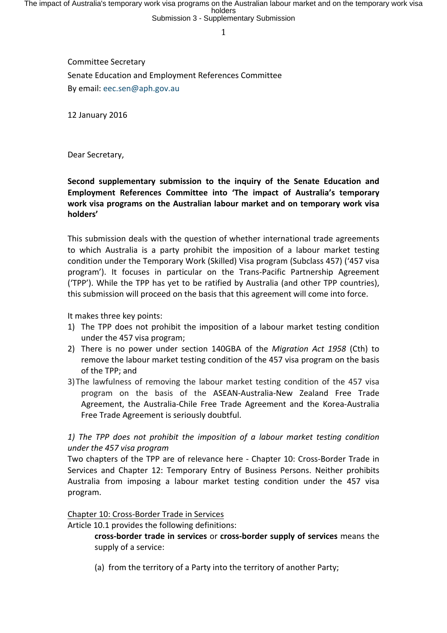Committee Secretary Senate Education and Employment References Committee By email: eec.sen@aph.gov.au

12 January 2016

Dear Secretary,

#### **Second supplementary submission to the inquiry of the Senate Education and Employment References Committee into 'The impact of Australia's temporary** work visa programs on the Australian labour market and on temporary work visa **holders'**

This submission deals with the question of whether international trade agreements to which Australia is a party prohibit the imposition of a labour market testing condition under the Temporary Work (Skilled) Visa program (Subclass 457) ('457 visa program'). It focuses in particular on the Trans-Pacific Partnership Agreement ('TPP'). While the TPP has yet to be ratified by Australia (and other TPP countries), this submission will proceed on the basis that this agreement will come into force.

It makes three key points:

- 1) The TPP does not prohibit the imposition of a labour market testing condition under the 457 visa program;
- 2) There is no power under section 140GBA of the Migration Act 1958 (Cth) to remove the labour market testing condition of the 457 visa program on the basis of the TPP; and
- 3) The lawfulness of removing the labour market testing condition of the 457 visa program on the basis of the ASEAN-Australia-New Zealand Free Trade Agreement, the Australia-Chile Free Trade Agreement and the Korea-Australia Free Trade Agreement is seriously doubtful.

### *1)* The TPP does not prohibit the imposition of a labour market testing condition *under the 457 visa program*

Two chapters of the TPP are of relevance here - Chapter 10: Cross-Border Trade in Services and Chapter 12: Temporary Entry of Business Persons. Neither prohibits Australia from imposing a labour market testing condition under the 457 visa program.

#### Chapter 10: Cross-Border Trade in Services

Article 10.1 provides the following definitions:

**cross-border trade in services** or **cross-border supply of services** means the supply of a service:

(a) from the territory of a Party into the territory of another Party;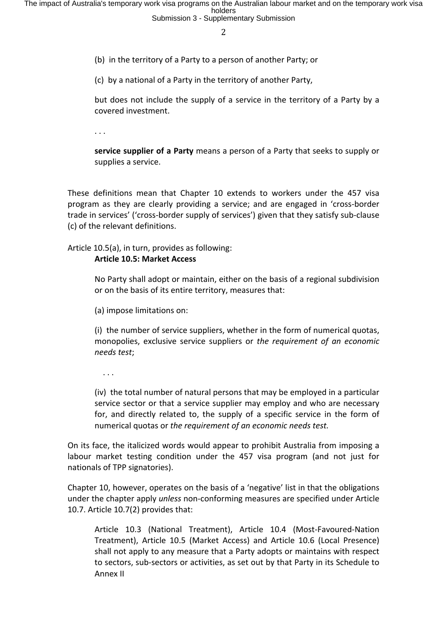(b) in the territory of a Party to a person of another Party; or

(c) by a national of a Party in the territory of another Party,

but does not include the supply of a service in the territory of a Party by a covered investment.

. . .

**service supplier of a Party** means a person of a Party that seeks to supply or supplies a service.

These definitions mean that Chapter 10 extends to workers under the 457 visa program as they are clearly providing a service; and are engaged in 'cross-border trade in services' ('cross-border supply of services') given that they satisfy sub-clause (c) of the relevant definitions.

Article  $10.5(a)$ , in turn, provides as following:

#### **Article 10.5: Market Access**

No Party shall adopt or maintain, either on the basis of a regional subdivision or on the basis of its entire territory, measures that:

(a) impose limitations on:

(i) the number of service suppliers, whether in the form of numerical quotas, monopolies, exclusive service suppliers or *the requirement of an economic needs test*; 

 $\cdot$  .

(iv) the total number of natural persons that may be employed in a particular service sector or that a service supplier may employ and who are necessary for, and directly related to, the supply of a specific service in the form of numerical quotas or *the requirement of an economic needs test.* 

On its face, the italicized words would appear to prohibit Australia from imposing a labour market testing condition under the 457 visa program (and not just for nationals of TPP signatories).

Chapter 10, however, operates on the basis of a 'negative' list in that the obligations under the chapter apply *unless* non-conforming measures are specified under Article 10.7. Article  $10.7(2)$  provides that:

Article 10.3 (National Treatment), Article 10.4 (Most-Favoured-Nation Treatment), Article 10.5 (Market Access) and Article 10.6 (Local Presence) shall not apply to any measure that a Party adopts or maintains with respect to sectors, sub-sectors or activities, as set out by that Party in its Schedule to Annex II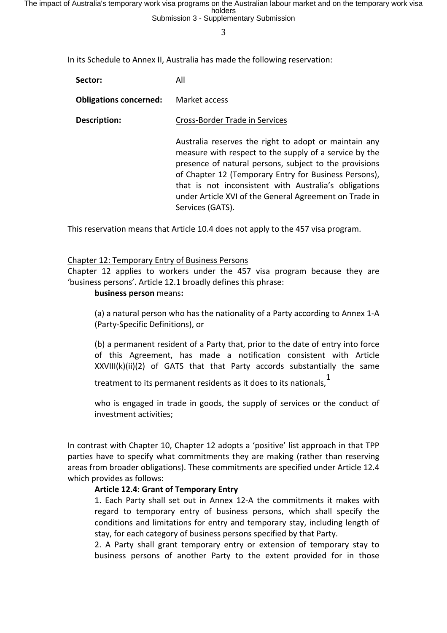The impact of Australia's temporary work visa programs on the Australian labour market and on the temporary work visa<br>holders<br>Submission 3 - Supplementary Submission

3

In its Schedule to Annex II, Australia has made the following reservation:

| Sector: | All |  |
|---------|-----|--|
|         |     |  |

**Obligations concerned:** Market access

**Description:** Cross-Border Trade in Services

Australia reserves the right to adopt or maintain any measure with respect to the supply of a service by the presence of natural persons, subject to the provisions of Chapter 12 (Temporary Entry for Business Persons), that is not inconsistent with Australia's obligations under Article XVI of the General Agreement on Trade in Services (GATS).

This reservation means that Article 10.4 does not apply to the 457 visa program.

#### Chapter 12: Temporary Entry of Business Persons

Chapter 12 applies to workers under the 457 visa program because they are 'business persons'. Article 12.1 broadly defines this phrase:

#### **business person** means:

(a) a natural person who has the nationality of a Party according to Annex 1-A (Party-Specific Definitions), or

(b) a permanent resident of a Party that, prior to the date of entry into force of this Agreement, has made a notification consistent with Article  $XXVIII(k)(ii)(2)$  of GATS that that Party accords substantially the same

treatment to its permanent residents as it does to its nationals,<sup>1</sup>

who is engaged in trade in goods, the supply of services or the conduct of investment activities:

In contrast with Chapter 10, Chapter 12 adopts a 'positive' list approach in that TPP parties have to specify what commitments they are making (rather than reserving areas from broader obligations). These commitments are specified under Article 12.4 which provides as follows:

#### **Article 12.4: Grant of Temporary Entry**

1. Each Party shall set out in Annex 12-A the commitments it makes with regard to temporary entry of business persons, which shall specify the conditions and limitations for entry and temporary stay, including length of stay, for each category of business persons specified by that Party.

2. A Party shall grant temporary entry or extension of temporary stay to business persons of another Party to the extent provided for in those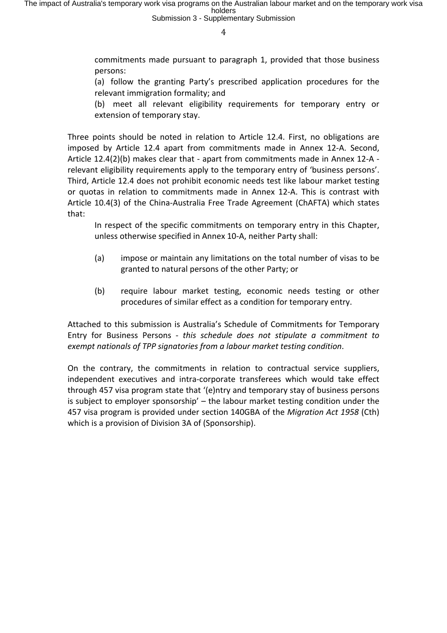commitments made pursuant to paragraph 1, provided that those business persons: 

(a) follow the granting Party's prescribed application procedures for the relevant immigration formality; and

(b) meet all relevant eligibility requirements for temporary entry or extension of temporary stay.

Three points should be noted in relation to Article 12.4. First, no obligations are imposed by Article 12.4 apart from commitments made in Annex 12-A. Second, Article 12.4(2)(b) makes clear that - apart from commitments made in Annex 12-A relevant eligibility requirements apply to the temporary entry of 'business persons'. Third, Article 12.4 does not prohibit economic needs test like labour market testing or quotas in relation to commitments made in Annex 12-A. This is contrast with Article 10.4(3) of the China-Australia Free Trade Agreement (ChAFTA) which states that:

In respect of the specific commitments on temporary entry in this Chapter, unless otherwise specified in Annex 10-A, neither Party shall:

- (a) impose or maintain any limitations on the total number of visas to be granted to natural persons of the other Party; or
- (b) require labour market testing, economic needs testing or other procedures of similar effect as a condition for temporary entry.

Attached to this submission is Australia's Schedule of Commitments for Temporary Entry for Business Persons - *this schedule does not stipulate a commitment to* exempt nationals of TPP signatories from a labour market testing condition.

On the contrary, the commitments in relation to contractual service suppliers, independent executives and intra-corporate transferees which would take effect through 457 visa program state that '(e)ntry and temporary stay of business persons is subject to employer sponsorship'  $-$  the labour market testing condition under the 457 visa program is provided under section 140GBA of the *Migration Act 1958* (Cth) which is a provision of Division 3A of (Sponsorship).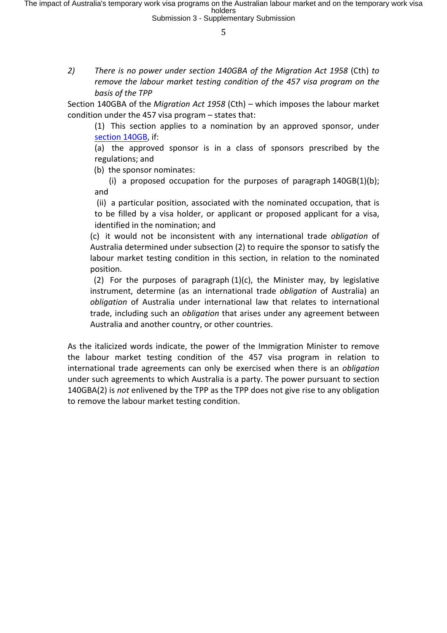2) There is no power under section 140GBA of the Migration Act 1958 (Cth) to *remove the labour market testing condition of the 457 visa program on the* basis of the TPP

Section 140GBA of the *Migration Act 1958* (Cth) – which imposes the labour market condition under the 457 visa program  $-$  states that:

(1) This section applies to a nomination by an approved sponsor, under section 140GB, if:

(a) the approved sponsor is in a class of sponsors prescribed by the regulations; and

(b) the sponsor nominates:

(i) a proposed occupation for the purposes of paragraph  $140GB(1)(b)$ ; and

(ii) a particular position, associated with the nominated occupation, that is to be filled by a visa holder, or applicant or proposed applicant for a visa, identified in the nomination; and

(c) it would not be inconsistent with any international trade *obligation* of Australia determined under subsection (2) to require the sponsor to satisfy the labour market testing condition in this section, in relation to the nominated position.

(2) For the purposes of paragraph  $(1)(c)$ , the Minister may, by legislative instrument, determine (as an international trade *obligation* of Australia) an *obligation* of Australia under international law that relates to international trade, including such an *obligation* that arises under any agreement between Australia and another country, or other countries.

As the italicized words indicate, the power of the Immigration Minister to remove the labour market testing condition of the 457 visa program in relation to international trade agreements can only be exercised when there is an *obligation* under such agreements to which Australia is a party. The power pursuant to section 140GBA(2) is *not* enlivened by the TPP as the TPP does not give rise to any obligation to remove the labour market testing condition.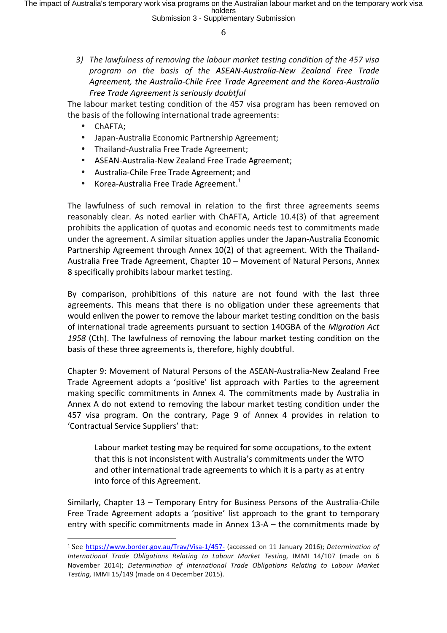3) The lawfulness of removing the labour market testing condition of the 457 visa *program on the basis of the ASEAN-Australia-New Zealand Free Trade*  Agreement, the Australia-Chile Free Trade Agreement and the Korea-Australia *Free Trade Agreement is seriously doubtful*

The labour market testing condition of the 457 visa program has been removed on the basis of the following international trade agreements:

• ChAFTA;

 

- Japan-Australia Economic Partnership Agreement;
- Thailand-Australia Free Trade Agreement;
- ASEAN-Australia-New Zealand Free Trade Agreement:
- Australia-Chile Free Trade Agreement; and
- Korea-Australia Free Trade Agreement.<sup>1</sup>

The lawfulness of such removal in relation to the first three agreements seems reasonably clear. As noted earlier with ChAFTA, Article 10.4(3) of that agreement prohibits the application of quotas and economic needs test to commitments made under the agreement. A similar situation applies under the Japan-Australia Economic Partnership Agreement through Annex 10(2) of that agreement. With the Thailand-Australia Free Trade Agreement, Chapter 10 - Movement of Natural Persons, Annex 8 specifically prohibits labour market testing.

By comparison, prohibitions of this nature are not found with the last three agreements. This means that there is no obligation under these agreements that would enliven the power to remove the labour market testing condition on the basis of international trade agreements pursuant to section 140GBA of the *Migration Act* 1958 (Cth). The lawfulness of removing the labour market testing condition on the basis of these three agreements is, therefore, highly doubtful.

Chapter 9: Movement of Natural Persons of the ASEAN-Australia-New Zealand Free Trade Agreement adopts a 'positive' list approach with Parties to the agreement making specific commitments in Annex 4. The commitments made by Australia in Annex A do not extend to removing the labour market testing condition under the 457 visa program. On the contrary, Page 9 of Annex 4 provides in relation to 'Contractual Service Suppliers' that:

Labour market testing may be required for some occupations, to the extent that this is not inconsistent with Australia's commitments under the WTO and other international trade agreements to which it is a party as at entry into force of this Agreement.

Similarly, Chapter  $13$  – Temporary Entry for Business Persons of the Australia-Chile Free Trade Agreement adopts a 'positive' list approach to the grant to temporary entry with specific commitments made in Annex  $13-A -$  the commitments made by

<sup>&</sup>lt;sup>1</sup> See https://www.border.gov.au/Trav/Visa-1/457- (accessed on 11 January 2016); Determination of *International Trade Obligations Relating to Labour Market Testing, IMMI 14/107* (made on 6 November 2014); *Determination of International Trade Obligations Relating to Labour Market* Testing, IMMI 15/149 (made on 4 December 2015).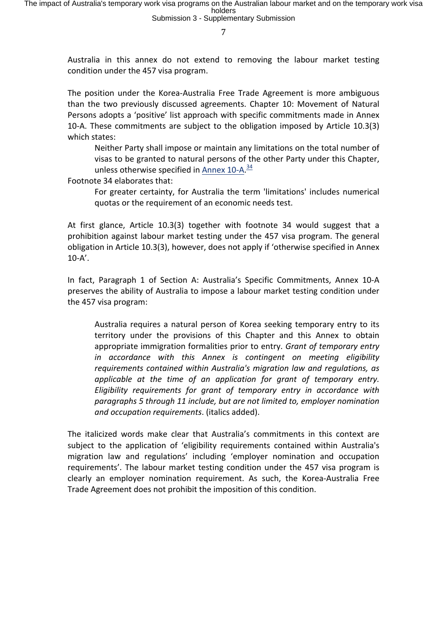Australia in this annex do not extend to removing the labour market testing condition under the 457 visa program.

The position under the Korea-Australia Free Trade Agreement is more ambiguous than the two previously discussed agreements. Chapter 10: Movement of Natural Persons adopts a 'positive' list approach with specific commitments made in Annex 10-A. These commitments are subject to the obligation imposed by Article 10.3(3) which states:

Neither Party shall impose or maintain any limitations on the total number of visas to be granted to natural persons of the other Party under this Chapter, unless otherwise specified in <u>Annex 10-A</u>.<sup>34</sup>

Footnote 34 elaborates that:

For greater certainty, for Australia the term 'limitations' includes numerical quotas or the requirement of an economic needs test.

At first glance, Article 10.3(3) together with footnote 34 would suggest that a prohibition against labour market testing under the 457 visa program. The general obligation in Article 10.3(3), however, does not apply if 'otherwise specified in Annex 10-A'. 

In fact, Paragraph 1 of Section A: Australia's Specific Commitments, Annex 10-A preserves the ability of Australia to impose a labour market testing condition under the 457 visa program:

Australia requires a natural person of Korea seeking temporary entry to its territory under the provisions of this Chapter and this Annex to obtain appropriate immigration formalities prior to entry. *Grant of temporary entry in* accordance with this Annex is contingent on meeting eligibility requirements contained within Australia's migration law and regulations, as *applicable* at the time of an application for grant of temporary entry. *Eligibility requirements for grant of temporary entry in accordance with paragraphs 5 through 11 include, but are not limited to, employer nomination and occupation requirements*. (italics added).

The italicized words make clear that Australia's commitments in this context are subject to the application of 'eligibility requirements contained within Australia's migration law and regulations' including 'employer nomination and occupation requirements'. The labour market testing condition under the 457 visa program is clearly an employer nomination requirement. As such, the Korea-Australia Free Trade Agreement does not prohibit the imposition of this condition.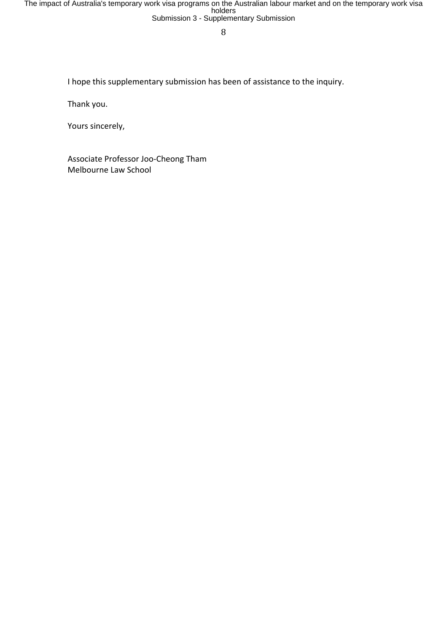The impact of Australia's temporary work visa programs on the Australian labour market and on the temporary work visa<br>holders<br>Submission 3 - Supplementary Submission

8

I hope this supplementary submission has been of assistance to the inquiry.

Thank you.

Yours sincerely,

Associate Professor Joo-Cheong Tham Melbourne Law School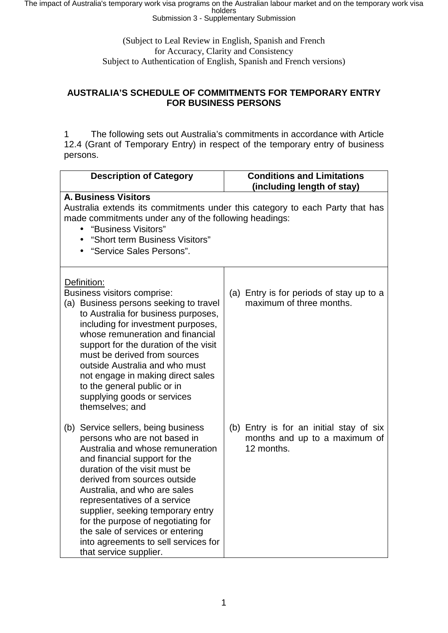The impact of Australia's temporary work visa programs on the Australian labour market and on the temporary work visa<br>Submission 3 - Supplementary Submission

(Subject to Leal Review in English, Spanish and French for Accuracy, Clarity and Consistency Subject to Authentication of English, Spanish and French versions)

### **AUSTRALIA'S SCHEDULE OF COMMITMENTS FOR TEMPORARY ENTRY FOR BUSINESS PERSONS**

1 The following sets out Australia's commitments in accordance with Article 12.4 (Grant of Temporary Entry) in respect of the temporary entry of business persons.

| <b>Description of Category</b>                                                                                                                                                                                                                                                                                                                                                                                                                             | <b>Conditions and Limitations</b><br>(including length of stay)                        |  |  |  |
|------------------------------------------------------------------------------------------------------------------------------------------------------------------------------------------------------------------------------------------------------------------------------------------------------------------------------------------------------------------------------------------------------------------------------------------------------------|----------------------------------------------------------------------------------------|--|--|--|
| <b>A. Business Visitors</b><br>Australia extends its commitments under this category to each Party that has<br>made commitments under any of the following headings:<br>"Business Visitors"<br>"Short term Business Visitors"<br>"Service Sales Persons".                                                                                                                                                                                                  |                                                                                        |  |  |  |
| Definition:<br>Business visitors comprise:<br>(a) Business persons seeking to travel<br>to Australia for business purposes,<br>including for investment purposes,<br>whose remuneration and financial<br>support for the duration of the visit<br>must be derived from sources<br>outside Australia and who must<br>not engage in making direct sales<br>to the general public or in<br>supplying goods or services<br>themselves; and                     | (a) Entry is for periods of stay up to a<br>maximum of three months.                   |  |  |  |
| (b) Service sellers, being business<br>persons who are not based in<br>Australia and whose remuneration<br>and financial support for the<br>duration of the visit must be<br>derived from sources outside<br>Australia, and who are sales<br>representatives of a service<br>supplier, seeking temporary entry<br>for the purpose of negotiating for<br>the sale of services or entering<br>into agreements to sell services for<br>that service supplier. | (b) Entry is for an initial stay of six<br>months and up to a maximum of<br>12 months. |  |  |  |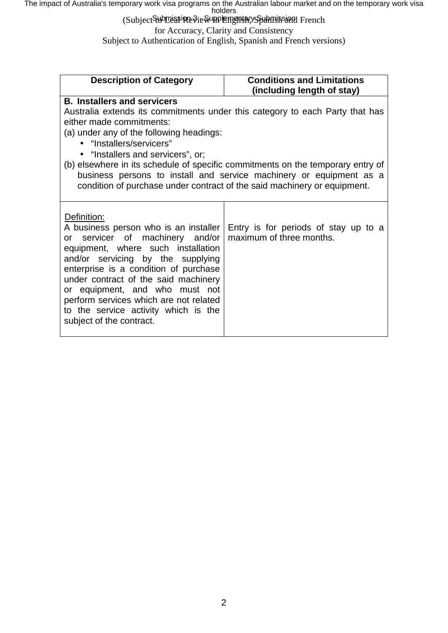The impact of Australia's temporary work visa programs on the Australian labour market and on the temporary work visa<br>holders<br>Subject<del>S⊌DDa</del>a≸i**R**e∛ie

for Accuracy, Clarity and Consistency

Subject to Authentication of English, Spanish and French versions)

| <b>Description of Category</b>                                                  | <b>Conditions and Limitations</b><br>(including length of stay) |  |  |  |
|---------------------------------------------------------------------------------|-----------------------------------------------------------------|--|--|--|
| <b>B. Installers and servicers</b>                                              |                                                                 |  |  |  |
| Australia extends its commitments under this category to each Party that has    |                                                                 |  |  |  |
| either made commitments:                                                        |                                                                 |  |  |  |
| (a) under any of the following headings:                                        |                                                                 |  |  |  |
| · "Installers/servicers"                                                        |                                                                 |  |  |  |
| . "Installers and servicers", or;                                               |                                                                 |  |  |  |
| (b) elsewhere in its schedule of specific commitments on the temporary entry of |                                                                 |  |  |  |
| business persons to install and service machinery or equipment as a             |                                                                 |  |  |  |
| condition of purchase under contract of the said machinery or equipment.        |                                                                 |  |  |  |
|                                                                                 |                                                                 |  |  |  |
|                                                                                 |                                                                 |  |  |  |
| Definition:                                                                     |                                                                 |  |  |  |
| A business person who is an installer                                           | Entry is for periods of stay up to a                            |  |  |  |
| or servicer of machinery and/or                                                 | maximum of three months.                                        |  |  |  |
| equipment, where such installation                                              |                                                                 |  |  |  |
| and/or servicing by the supplying                                               |                                                                 |  |  |  |
| enterprise is a condition of purchase                                           |                                                                 |  |  |  |
| under contract of the said machinery                                            |                                                                 |  |  |  |
| or equipment, and who must not                                                  |                                                                 |  |  |  |
| perform services which are not related                                          |                                                                 |  |  |  |
| to the service activity which is the                                            |                                                                 |  |  |  |
| subject of the contract.                                                        |                                                                 |  |  |  |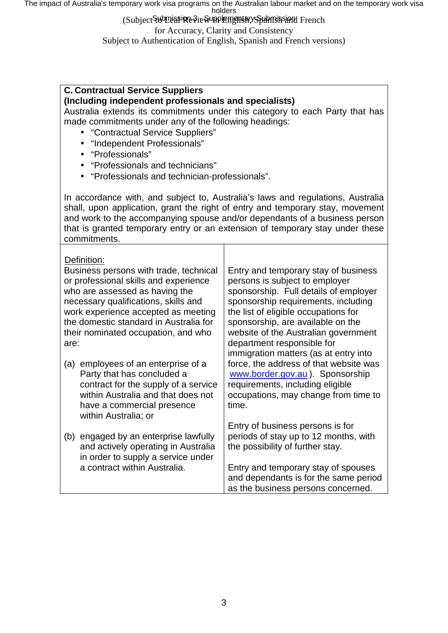The impact of Australia's temporary work visa programs on the Australian labour market and on the temporary work visa<br>holders

(Subject SubDuani Review Prench Review in English and French

for Accuracy, Clarity and Consistency

Subject to Authentication of English, Spanish and French versions)

# **C. Contractual Service Suppliers**

### **(Including independent professionals and specialists)**

Australia extends its commitments under this category to each Party that has made commitments under any of the following headings:

- "Contractual Service Suppliers"
- "Independent Professionals"
- "Professionals"
- "Professionals and technicians"
- "Professionals and technician-professionals".

In accordance with, and subject to, Australia's laws and regulations, Australia shall, upon application, grant the right of entry and temporary stay, movement and work to the accompanying spouse and/or dependants of a business person that is granted temporary entry or an extension of temporary stay under these commitments.

| Definition:<br>Business persons with trade, technical<br>or professional skills and experience<br>who are assessed as having the<br>necessary qualifications, skills and<br>work experience accepted as meeting<br>the domestic standard in Australia for<br>their nominated occupation, and who<br>are: |                                                                                                                                                                                                   | Entry and temporary stay of business<br>persons is subject to employer<br>sponsorship. Full details of employer<br>sponsorship requirements, including<br>the list of eligible occupations for<br>sponsorship, are available on the<br>website of the Australian government<br>department responsible for<br>immigration matters (as at entry into |
|----------------------------------------------------------------------------------------------------------------------------------------------------------------------------------------------------------------------------------------------------------------------------------------------------------|---------------------------------------------------------------------------------------------------------------------------------------------------------------------------------------------------|----------------------------------------------------------------------------------------------------------------------------------------------------------------------------------------------------------------------------------------------------------------------------------------------------------------------------------------------------|
| (a)                                                                                                                                                                                                                                                                                                      | employees of an enterprise of a<br>Party that has concluded a<br>contract for the supply of a service<br>within Australia and that does not<br>have a commercial presence<br>within Australia; or | force, the address of that website was<br>www.border.gov.au.). Sponsorship<br>requirements, including eligible<br>occupations, may change from time to<br>time.                                                                                                                                                                                    |
| (b)                                                                                                                                                                                                                                                                                                      | engaged by an enterprise lawfully<br>and actively operating in Australia<br>in order to supply a service under<br>a contract within Australia.                                                    | Entry of business persons is for<br>periods of stay up to 12 months, with<br>the possibility of further stay.<br>Entry and temporary stay of spouses<br>and dependants is for the same period                                                                                                                                                      |
|                                                                                                                                                                                                                                                                                                          |                                                                                                                                                                                                   | as the business persons concerned.                                                                                                                                                                                                                                                                                                                 |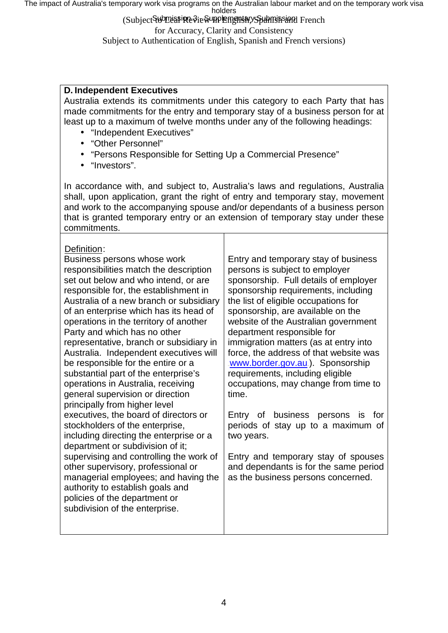The impact of Australia's temporary work visa programs on the Australian labour market and on the temporary work visa<br>holders

(Subject SubDuani Review Prench Review in English and French for Accuracy, Clarity and Consistency Subject to Authentication of English, Spanish and French versions)

## **D. Independent Executives**

Australia extends its commitments under this category to each Party that has made commitments for the entry and temporary stay of a business person for at least up to a maximum of twelve months under any of the following headings:

- "Independent Executives"  $\mathbf{r}$
- "Other Personnel"
- "Persons Responsible for Setting Up a Commercial Presence"
- . "Investors".

In accordance with, and subject to, Australia's laws and regulations, Australia shall, upon application, grant the right of entry and temporary stay, movement and work to the accompanying spouse and/or dependants of a business person that is granted temporary entry or an extension of temporary stay under these commitments.

# $D$ ofinition:

| PEIII IIUUIT.                                                                                                                                                                                                                                                                                                                                                                                                                                                                                                                                                                                       |                                                                                                                                                                                                                                                                                                                                                                                                                                                                                                                       |
|-----------------------------------------------------------------------------------------------------------------------------------------------------------------------------------------------------------------------------------------------------------------------------------------------------------------------------------------------------------------------------------------------------------------------------------------------------------------------------------------------------------------------------------------------------------------------------------------------------|-----------------------------------------------------------------------------------------------------------------------------------------------------------------------------------------------------------------------------------------------------------------------------------------------------------------------------------------------------------------------------------------------------------------------------------------------------------------------------------------------------------------------|
| Business persons whose work<br>responsibilities match the description<br>set out below and who intend, or are<br>responsible for, the establishment in<br>Australia of a new branch or subsidiary<br>of an enterprise which has its head of<br>operations in the territory of another<br>Party and which has no other<br>representative, branch or subsidiary in<br>Australia. Independent executives will<br>be responsible for the entire or a<br>substantial part of the enterprise's<br>operations in Australia, receiving<br>general supervision or direction<br>principally from higher level | Entry and temporary stay of business<br>persons is subject to employer<br>sponsorship. Full details of employer<br>sponsorship requirements, including<br>the list of eligible occupations for<br>sponsorship, are available on the<br>website of the Australian government<br>department responsible for<br>immigration matters (as at entry into<br>force, the address of that website was<br>www.border.gov.au.). Sponsorship<br>requirements, including eligible<br>occupations, may change from time to<br>time. |
| executives, the board of directors or<br>stockholders of the enterprise,<br>including directing the enterprise or a<br>department or subdivision of it;<br>supervising and controlling the work of<br>other supervisory, professional or<br>managerial employees; and having the<br>authority to establish goals and                                                                                                                                                                                                                                                                                | Entry of business<br>persons is<br>for<br>periods of stay up to a maximum of<br>two years.<br>Entry and temporary stay of spouses<br>and dependants is for the same period<br>as the business persons concerned.                                                                                                                                                                                                                                                                                                      |
| policies of the department or<br>subdivision of the enterprise.                                                                                                                                                                                                                                                                                                                                                                                                                                                                                                                                     |                                                                                                                                                                                                                                                                                                                                                                                                                                                                                                                       |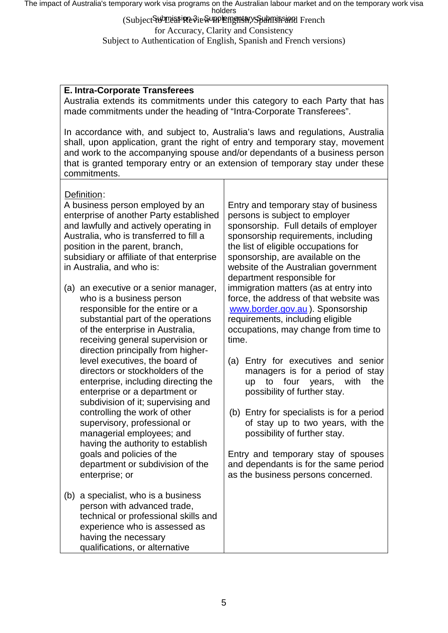The impact of Australia's temporary work visa programs on the Australian labour market and on the temporary work visa<br>holders

(Subject Submissine Sie Supplem ght ary Spubmission Hench for Accuracy, Clarity and Consistency Subject to Authentication of English, Spanish and French versions)

# **E. Intra-Corporate Transferees**

Australia extends its commitments under this category to each Party that has made commitments under the heading of "Intra-Corporate Transferees".

In accordance with, and subject to, Australia's laws and regulations, Australia shall, upon application, grant the right of entry and temporary stay, movement and work to the accompanying spouse and/or dependants of a business person that is granted temporary entry or an extension of temporary stay under these commitments.

### Definition:

A business person employed by an enterprise of another Party established and lawfully and actively operating in Australia, who is transferred to fill a position in the parent, branch, subsidiary or affiliate of that enterprise in Australia, and who is:

- (a) an executive or a senior manager, who is a business person responsible for the entire or a substantial part of the operations of the enterprise in Australia, receiving general supervision or direction principally from higherlevel executives, the board of directors or stockholders of the enterprise, including directing the enterprise or a department or subdivision of it; supervising and controlling the work of other supervisory, professional or managerial employees; and having the authority to establish goals and policies of the department or subdivision of the enterprise; or
- (b) a specialist, who is a business person with advanced trade, technical or professional skills and experience who is assessed as having the necessary qualifications, or alternative

Entry and temporary stay of business persons is subject to employer sponsorship. Full details of employer sponsorship requirements, including the list of eligible occupations for sponsorship, are available on the website of the Australian government department responsible for immigration matters (as at entry into force, the address of that website was [www.border.gov.au](http://www.border.gov.au/).). Sponsorship. requirements, including eligible occupations, may change from time to time.

- (a) Entry for executives and senior managers is for a period of stay up to four years, with the possibility of further stay.
- (b) Entry for specialists is for a period of stay up to two years, with the possibility of further stay.

Entry and temporary stay of spouses and dependants is for the same period as the business persons concerned.